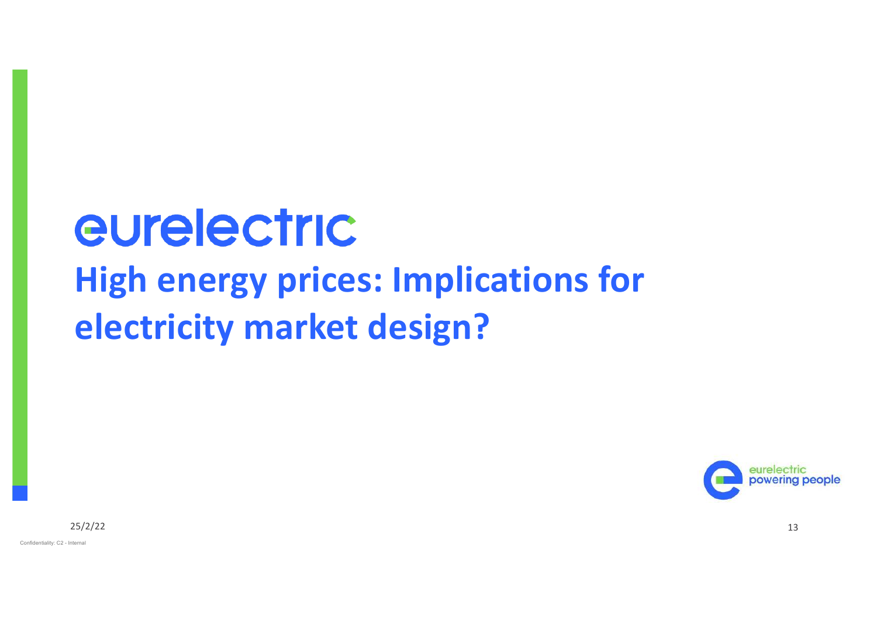# eurelectric **High energy prices: Implications for electricity market design?**



25/2/22 13

Confidentiality: C2 - Internal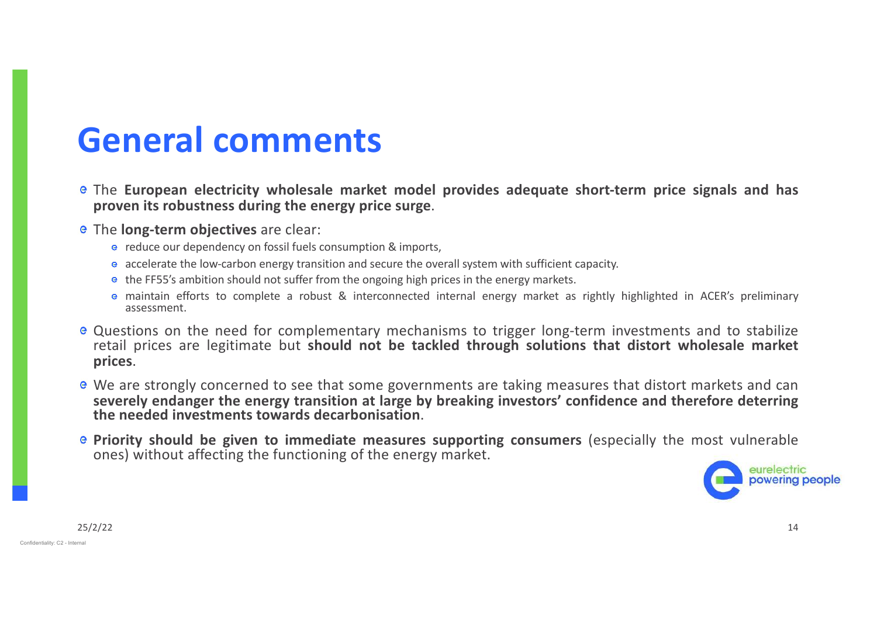### **General comments**

- The **European electricity wholesale market model provides adequate short-term price signals and has proven its robustness during the energy price surge**.
- The **long-term objectives** are clear:
	- **e** reduce our dependency on fossil fuels consumption & imports,
	- **e** accelerate the low-carbon energy transition and secure the overall system with sufficient capacity.
	- **e** the FF55's ambition should not suffer from the ongoing high prices in the energy markets.
	- maintain efforts to complete a robust & interconnected internal energy market as rightly highlighted in ACER's preliminary assessment.
- Questions on the need for complementary mechanisms to trigger long-term investments and to stabilize retail prices are legitimate but **should not be tackled through solutions that distort wholesale market prices**.
- We are strongly concerned to see that some governments are taking measures that distort markets and can **severely endanger the energy transition at large by breaking investors' confidence and therefore deterring the needed investments towards decarbonisation**.
- **Priority should be given to immediate measures supporting consumers** (especially the most vulnerable ones) without affecting the functioning of the energy market.

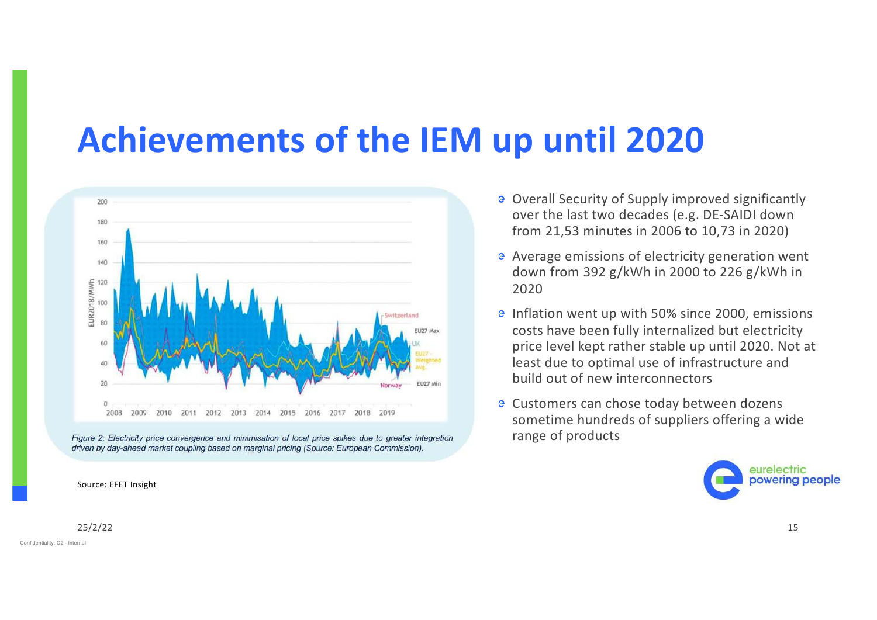### **Achievements of the IEM up until 2020**





Source: EFET Insight

#### 25/2/22 25/2/22 25/2/22 25/2/22 25/2/22 25/2/22 25/2/22 25/2/22 25/2/22 25/2/22 25/2/22 25/2020 25/2020 25/2020

Confidentiality: C2 - Internal

- Overall Security of Supply improved significantly over the last two decades (e.g. DE-SAIDI down from 21,53 minutes in 2006 to 10,73 in 2020)
- Average emissions of electricity generation went down from 392 g/kWh in 2000 to 226 g/kWh in 2020
- $\epsilon$  Inflation went up with 50% since 2000, emissions costs have been fully internalized but electricity price level kept rather stable up until 2020. Not at least due to optimal use of infrastructure and build out of new interconnectors
- Customers can chose today between dozens sometime hundreds of suppliers offering a wide range of products

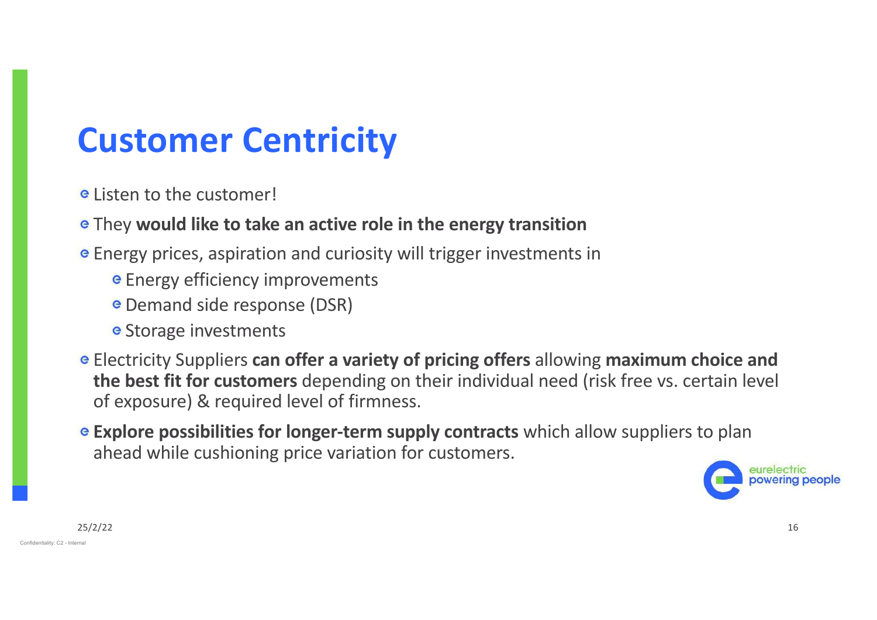# **Customer Centricity**

- Listen to the customer!
- They **would like to take an active role in the energy transition**
- Energy prices, aspiration and curiosity will trigger investments in
	- **E** Energy efficiency improvements
	- **e** Demand side response (DSR)
	- **e** Storage investments
- Electricity Suppliers **can offer a variety of pricing offers** allowing **maximum choice and the best fit for customers** depending on their individual need (risk free vs. certain level of exposure) & required level of firmness.
- **Explore possibilities for longer-term supply contracts** which allow suppliers to plan ahead while cushioning price variation for customers.